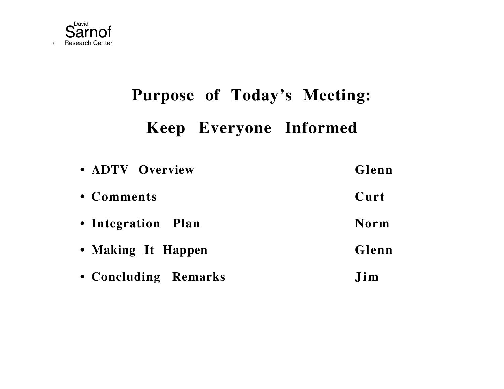

# **Purpose of Today's Meeting: Keep Everyone Informed**

| • ADTV Overview      | Glenn       |
|----------------------|-------------|
| • Comments           | Curt        |
| • Integration Plan   | <b>Norm</b> |
| • Making It Happen   | Glenn       |
| • Concluding Remarks | Jim         |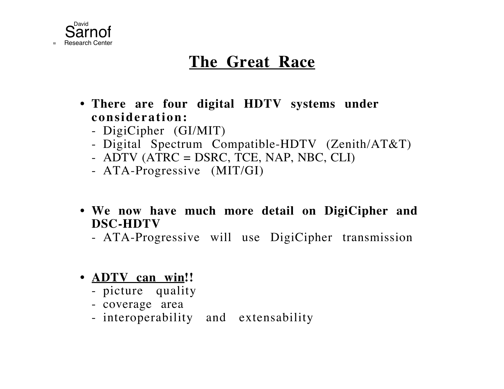

### **The Great Race**

- **• There are four digital HDTV systems under consideration:**
	- DigiCipher (GI/MIT)
	- Digital Spectrum Compatible-HDTV (Zenith/AT&T)
	- ADTV (ATRC = DSRC, TCE, NAP, NBC, CLI)
	- ATA-Progressive (MIT/GI)
- **• We now have much more detail on DigiCipher and DSC-HDTV**
	- ATA-Progressive will use DigiCipher transmission
- **ADTV** can win!!
	- picture quality
	- coverage area
	- interoperability and extensability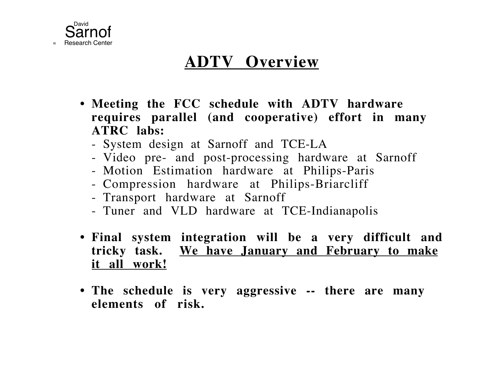

## **ADTV Overview**

- **• Meeting the FCC schedule with ADTV hardware requires parallel (and cooperative) effort in many ATRC labs:**
	- System design at Sarnoff and TCE-LA
	- Video pre- and post-processing hardware at Sarnoff
	- Motion Estimation hardware at Philips-Paris
	- Compression hardware at Philips-Briarcliff
	- Transport hardware at Sarnoff
	- Tuner and VLD hardware at TCE-Indianapolis
- **• Final system integration will be a very difficult and tricky task. We have January and February to make it all work!**
- **• The schedule is very aggressive -- there are many elements of risk.**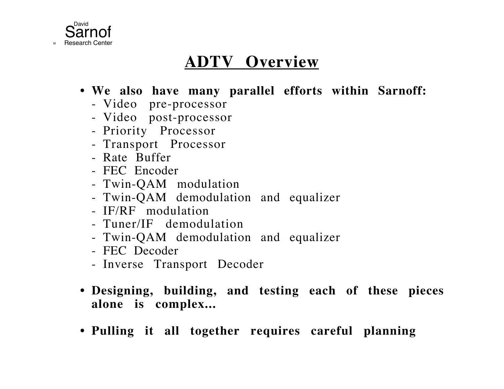

## **ADTV Overview**

- **• We also have many parallel efforts within Sarnoff:**
	- Video pre-processor
	- Video post-processor
	- Priority Processor
	- Transport Processor
	- Rate Buffer
	- FEC Encoder
	- Twin-QAM modulation
	- Twin-QAM demodulation and equalizer
	- IF/RF modulation
	- Tuner/IF demodulation
	- Twin-QAM demodulation and equalizer
	- FEC Decoder
	- Inverse Transport Decoder
- **• Designing, building, and testing each of these pieces alone is complex...**
- **• Pulling it all together requires careful planning**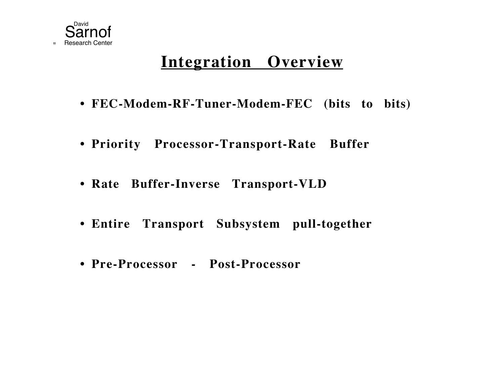

## **Integration Overview**

- **• FEC-Modem-RF-Tuner-Modem-FEC (bits to bits)**
- **• Priority Processor-Transport-Rate Buffer**
- **• Rate Buffer-Inverse Transport-VLD**
- **• Entire Transport Subsystem pull-together**
- **• Pre-Processor Post-Processor**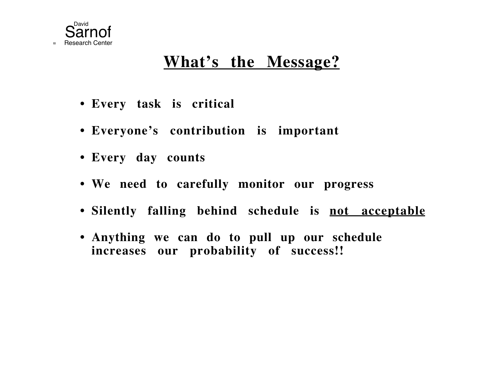

#### **What's the Message?**

- **• Every task is critical**
- **• Everyone's contribution is important**
- **• Every day counts**
- **• We need to carefully monitor our progress**
- **• Silently falling behind schedule is not acceptable**
- **• Anything we can do to pull up our schedule increases our probability of success!!**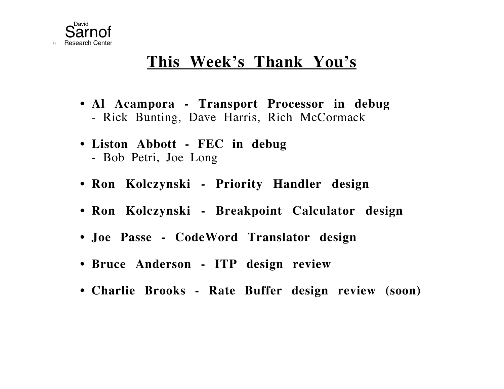

#### **This Week's Thank You's**

- **• Al Acampora Transport Processor in debug** Rick Bunting, Dave Harris, Rich McCormack
- **• Liston Abbott FEC in debug** Bob Petri, Joe Long
- **• Ron Kolczynski Priority Handler design**
- **• Ron Kolczynski Breakpoint Calculator design**
- **• Joe Passe CodeWord Translator design**
- **• Bruce Anderson ITP design review**
- **• Charlie Brooks Rate Buffer design review (soon)**